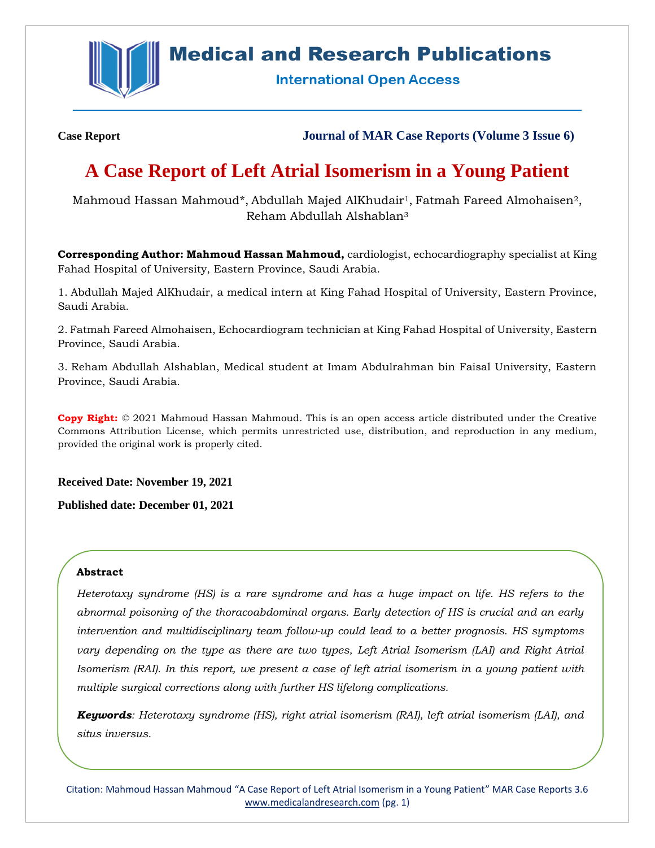

## **Medical and Research Publications**

**International Open Access** 

**Case Report Journal of MAR Case Reports (Volume 3 Issue 6)**

# **A Case Report of Left Atrial Isomerism in a Young Patient**

Mahmoud Hassan Mahmoud\*, Abdullah Majed AlKhudair<sup>1</sup>, Fatmah Fareed Almohaisen<sup>2</sup>, Reham Abdullah Alshablan<sup>3</sup>

**Corresponding Author: Mahmoud Hassan Mahmoud,** cardiologist, echocardiography specialist at King Fahad Hospital of University, Eastern Province, Saudi Arabia.

1. Abdullah Majed AlKhudair, a medical intern at King Fahad Hospital of University, Eastern Province, Saudi Arabia.

2. Fatmah Fareed Almohaisen, Echocardiogram technician at King Fahad Hospital of University, Eastern Province, Saudi Arabia.

3. Reham Abdullah Alshablan, Medical student at Imam Abdulrahman bin Faisal University, Eastern Province, Saudi Arabia.

**Copy Right:** © 2021 Mahmoud Hassan Mahmoud. This is an open access article distributed under the Creative Commons Attribution License, which permits unrestricted use, distribution, and reproduction in any medium, provided the original work is properly cited.

**Received Date: November 19, 2021**

**Published date: December 01, 2021**

### **Abstract**

*Heterotaxy syndrome (HS) is a rare syndrome and has a huge impact on life. HS refers to the abnormal poisoning of the thoracoabdominal organs. Early detection of HS is crucial and an early intervention and multidisciplinary team follow-up could lead to a better prognosis. HS symptoms vary depending on the type as there are two types, Left Atrial Isomerism (LAI) and Right Atrial Isomerism (RAI). In this report, we present a case of left atrial isomerism in a young patient with multiple surgical corrections along with further HS lifelong complications.*

*Keywords: Heterotaxy syndrome (HS), right atrial isomerism (RAI), left atrial isomerism (LAI), and situs inversus.*

Citation: Mahmoud Hassan Mahmoud "A Case Report of Left Atrial Isomerism in a Young Patient" MAR Case Reports 3.6 [www.medicalandresearch.com](http://www.medicalandresearch.com/) (pg. 1)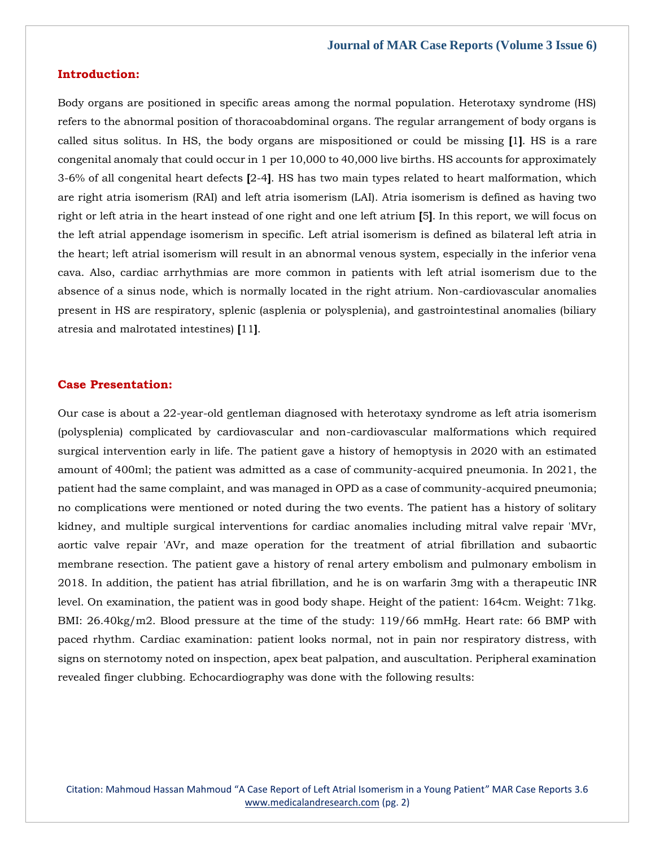### **Introduction:**

Body organs are positioned in specific areas among the normal population. Heterotaxy syndrome (HS) refers to the abnormal position of thoracoabdominal organs. The regular arrangement of body organs is called situs solitus. In HS, the body organs are mispositioned or could be missing **[**1**]**. HS is a rare congenital anomaly that could occur in 1 per 10,000 to 40,000 live births. HS accounts for approximately 3-6% of all congenital heart defects **[**2-4**]**. HS has two main types related to heart malformation, which are right atria isomerism (RAI) and left atria isomerism (LAI). Atria isomerism is defined as having two right or left atria in the heart instead of one right and one left atrium **[**5**]**. In this report, we will focus on the left atrial appendage isomerism in specific. Left atrial isomerism is defined as bilateral left atria in the heart; left atrial isomerism will result in an abnormal venous system, especially in the inferior vena cava. Also, cardiac arrhythmias are more common in patients with left atrial isomerism due to the absence of a sinus node, which is normally located in the right atrium. Non-cardiovascular anomalies present in HS are respiratory, splenic (asplenia or polysplenia), and gastrointestinal anomalies (biliary atresia and malrotated intestines) **[**11**]**.

#### **Case Presentation:**

Our case is about a 22-year-old gentleman diagnosed with heterotaxy syndrome as left atria isomerism (polysplenia) complicated by cardiovascular and non-cardiovascular malformations which required surgical intervention early in life. The patient gave a history of hemoptysis in 2020 with an estimated amount of 400ml; the patient was admitted as a case of community-acquired pneumonia. In 2021, the patient had the same complaint, and was managed in OPD as a case of community-acquired pneumonia; no complications were mentioned or noted during the two events. The patient has a history of solitary kidney, and multiple surgical interventions for cardiac anomalies including mitral valve repair 'MVr, aortic valve repair 'AVr, and maze operation for the treatment of atrial fibrillation and subaortic membrane resection. The patient gave a history of renal artery embolism and pulmonary embolism in 2018. In addition, the patient has atrial fibrillation, and he is on warfarin 3mg with a therapeutic INR level. On examination, the patient was in good body shape. Height of the patient: 164cm. Weight: 71kg. BMI: 26.40kg/m2. Blood pressure at the time of the study: 119/66 mmHg. Heart rate: 66 BMP with paced rhythm. Cardiac examination: patient looks normal, not in pain nor respiratory distress, with signs on sternotomy noted on inspection, apex beat palpation, and auscultation. Peripheral examination revealed finger clubbing. Echocardiography was done with the following results:

Citation: Mahmoud Hassan Mahmoud "A Case Report of Left Atrial Isomerism in a Young Patient" MAR Case Reports 3.6 [www.medicalandresearch.com](http://www.medicalandresearch.com/) (pg. 2)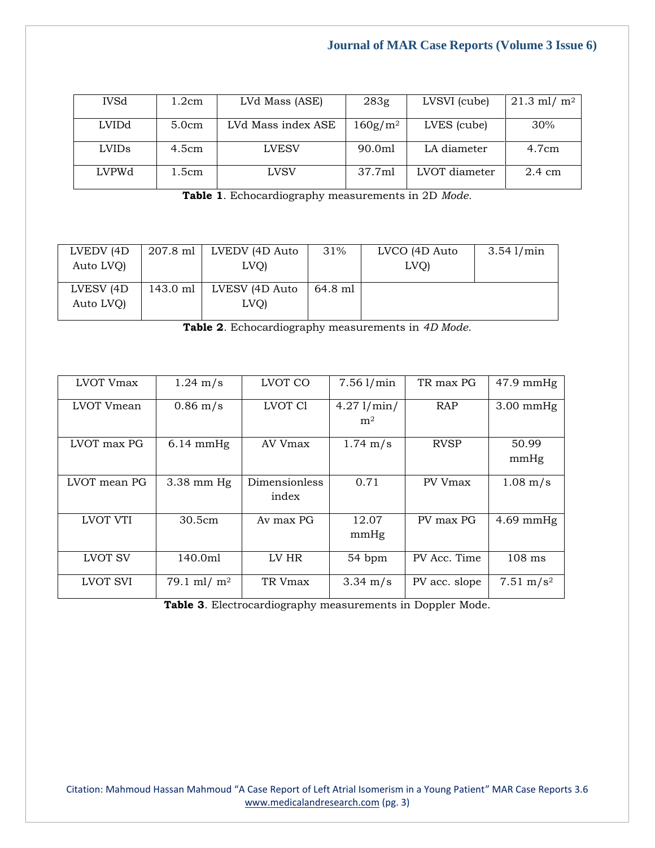| <b>IVSd</b>       | 1.2cm | LVd Mass (ASE)     | 283g                   | LVSVI (cube)  | $21.3$ ml/ m <sup>2</sup> |
|-------------------|-------|--------------------|------------------------|---------------|---------------------------|
| LVIDd             | 5.0cm | LVd Mass index ASE | $160$ g/m <sup>2</sup> | LVES (cube)   | 30%                       |
| LVID <sub>s</sub> | 4.5cm | <b>LVESV</b>       | 90.0ml                 | LA diameter   | 4.7cm                     |
| <b>LVPWd</b>      | 1.5cm | LVSV               | 37.7ml                 | LVOT diameter | $2.4 \text{ cm}$          |

**Table 1**. Echocardiography measurements in 2D *Mode.*

| LVEDV (4D)<br>Auto LVQ) | 207.8 ml | LVEDV (4D Auto<br>LVO) | 31%     | LVCO (4D Auto)<br>LVO) | $3.54$ $1/min$ |
|-------------------------|----------|------------------------|---------|------------------------|----------------|
| LVESV (4D)<br>Auto LVO  | 143.0 ml | LVESV (4D Auto<br>LVQ) | 64.8 ml |                        |                |

**Table 2**. Echocardiography measurements in *4D Mode.*

| LVOT Vmax      | $1.24 \; \rm{m/s}$  | LVOT CO                | $7.56$ $1/min$               | TR max PG     | $47.9$ mmHg           |
|----------------|---------------------|------------------------|------------------------------|---------------|-----------------------|
| LVOT Vmean     | $0.86 \; \rm m/s$   | LVOT C1                | 4.271/min/<br>m <sup>2</sup> | <b>RAP</b>    | $3.00$ mmHg           |
| LVOT max PG    | $6.14 \text{ mmHg}$ | AV Vmax                | $1.74 \;{\rm m/s}$           | <b>RVSP</b>   | 50.99<br>mmHg         |
| LVOT mean PG   | $3.38$ mm Hg        | Dimensionless<br>index | 0.71                         | PV Vmax       | $1.08 \; \rm{m/s}$    |
| LVOT VTI       | 30.5cm              | Av max PG              | 12.07<br>mmHg                | PV max PG     | $4.69$ mmHg           |
| <b>LVOT SV</b> | 140.0ml             | LV HR                  | 54 bpm                       | PV Acc. Time  | $108$ ms              |
| LVOT SVI       | 79.1 ml/ $m2$       | TR Vmax                | $3.34 \text{ m/s}$           | PV acc. slope | 7.51 m/s <sup>2</sup> |

**Table 3**. Electrocardiography measurements in Doppler Mode.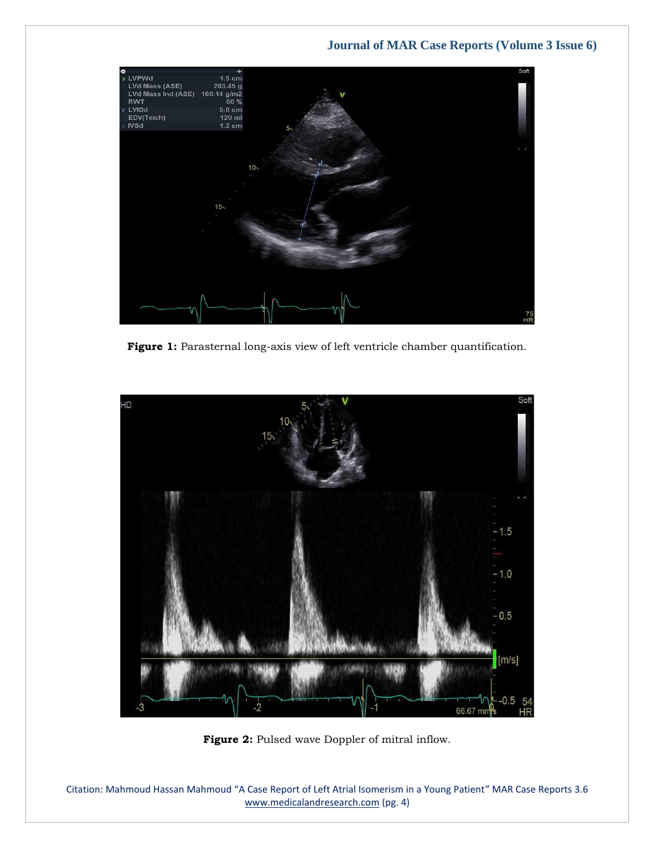

**Figure 1:** Parasternal long-axis view of left ventricle chamber quantification.



Figure 2: Pulsed wave Doppler of mitral inflow.

Citation: Mahmoud Hassan Mahmoud "A Case Report of Left Atrial Isomerism in a Young Patient" MAR Case Reports 3.6 [www.medicalandresearch.com](http://www.medicalandresearch.com/) (pg. 4)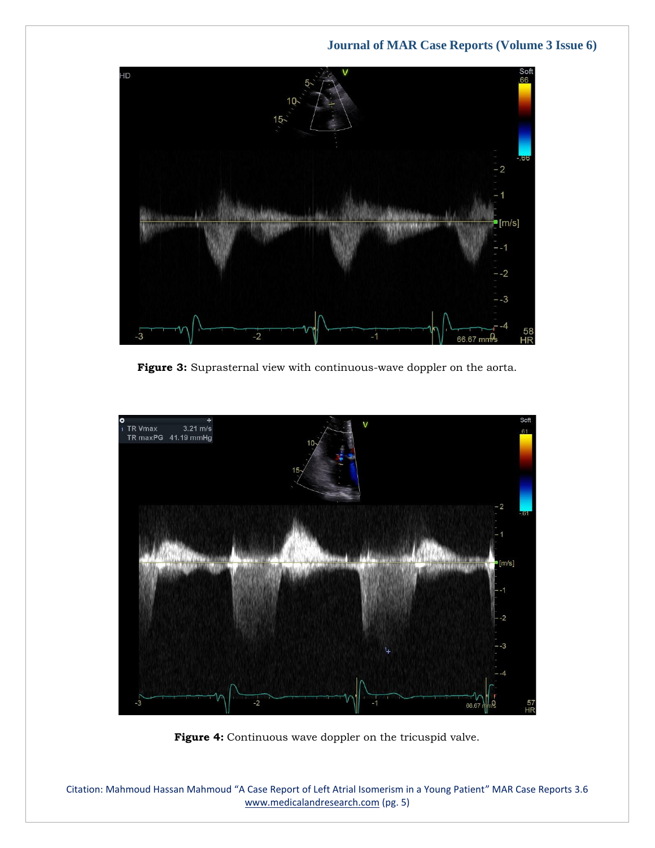

**Figure 3:** Suprasternal view with continuous-wave doppler on the aorta.



**Figure 4:** Continuous wave doppler on the tricuspid valve.

Citation: Mahmoud Hassan Mahmoud "A Case Report of Left Atrial Isomerism in a Young Patient" MAR Case Reports 3.6 [www.medicalandresearch.com](http://www.medicalandresearch.com/) (pg. 5)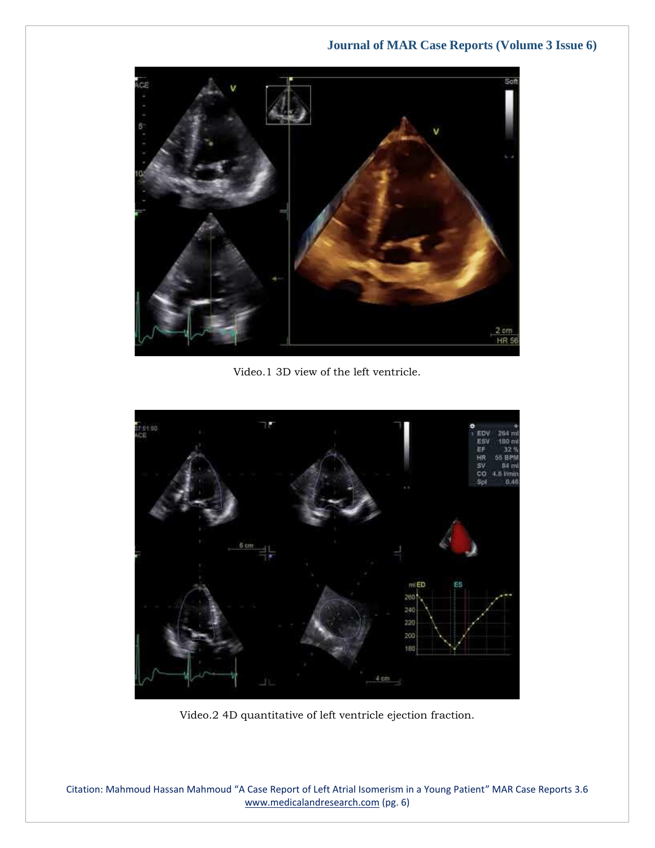

Video.1 3D view of the left ventricle.



Video.2 4D quantitative of left ventricle ejection fraction.

Citation: Mahmoud Hassan Mahmoud "A Case Report of Left Atrial Isomerism in a Young Patient" MAR Case Reports 3.6 [www.medicalandresearch.com](http://www.medicalandresearch.com/) (pg. 6)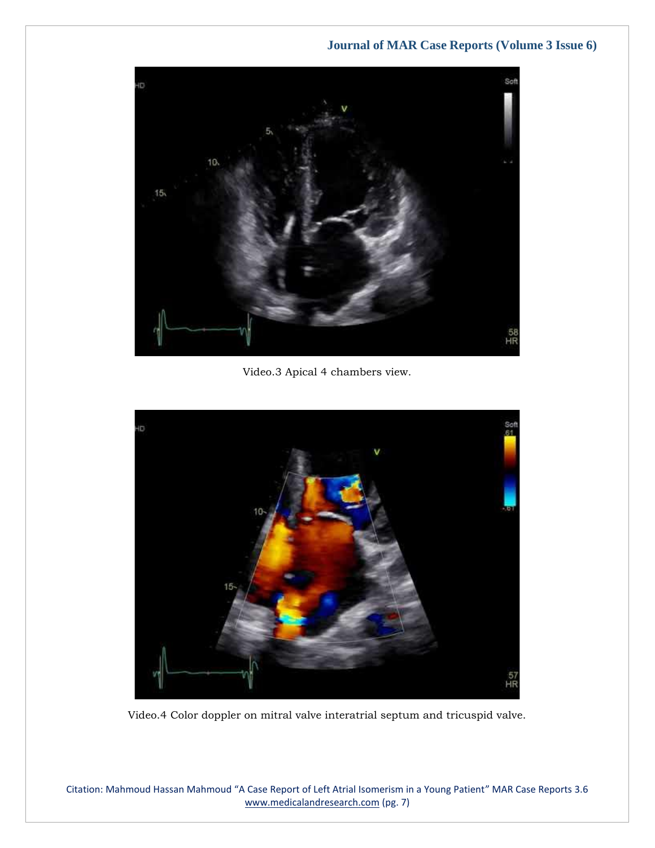

Video.3 Apical 4 chambers view.



Video.4 Color doppler on mitral valve interatrial septum and tricuspid valve.

Citation: Mahmoud Hassan Mahmoud "A Case Report of Left Atrial Isomerism in a Young Patient" MAR Case Reports 3.6 [www.medicalandresearch.com](http://www.medicalandresearch.com/) (pg. 7)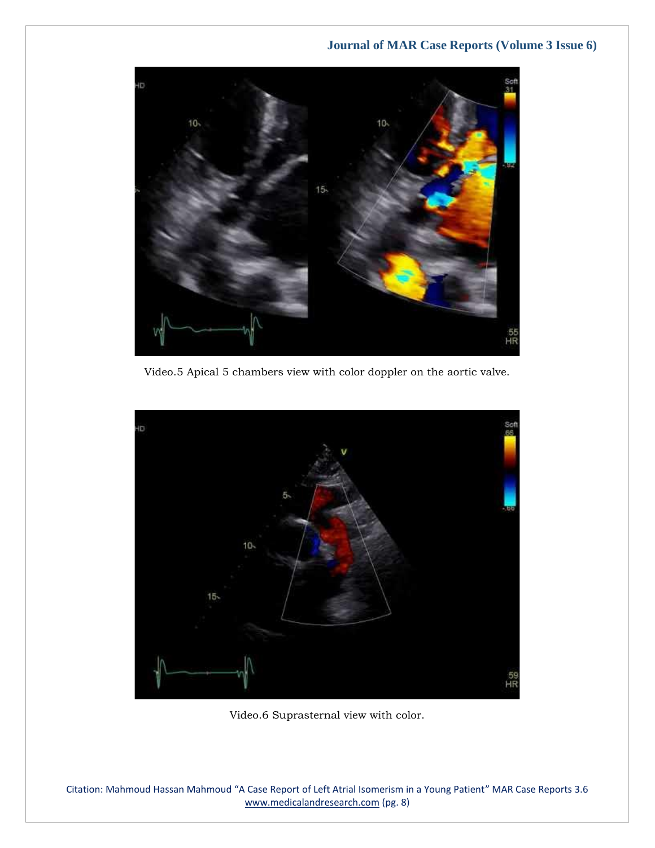

Video.5 Apical 5 chambers view with color doppler on the aortic valve.



Video.6 Suprasternal view with color.

Citation: Mahmoud Hassan Mahmoud "A Case Report of Left Atrial Isomerism in a Young Patient" MAR Case Reports 3.6 [www.medicalandresearch.com](http://www.medicalandresearch.com/) (pg. 8)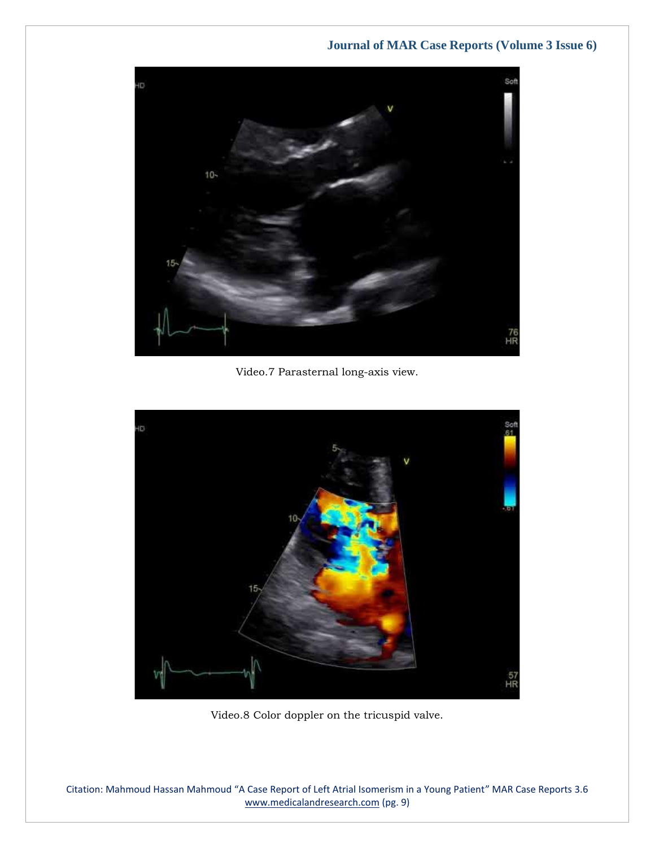

Video.7 Parasternal long-axis view.



Video.8 Color doppler on the tricuspid valve.

Citation: Mahmoud Hassan Mahmoud "A Case Report of Left Atrial Isomerism in a Young Patient" MAR Case Reports 3.6 [www.medicalandresearch.com](http://www.medicalandresearch.com/) (pg. 9)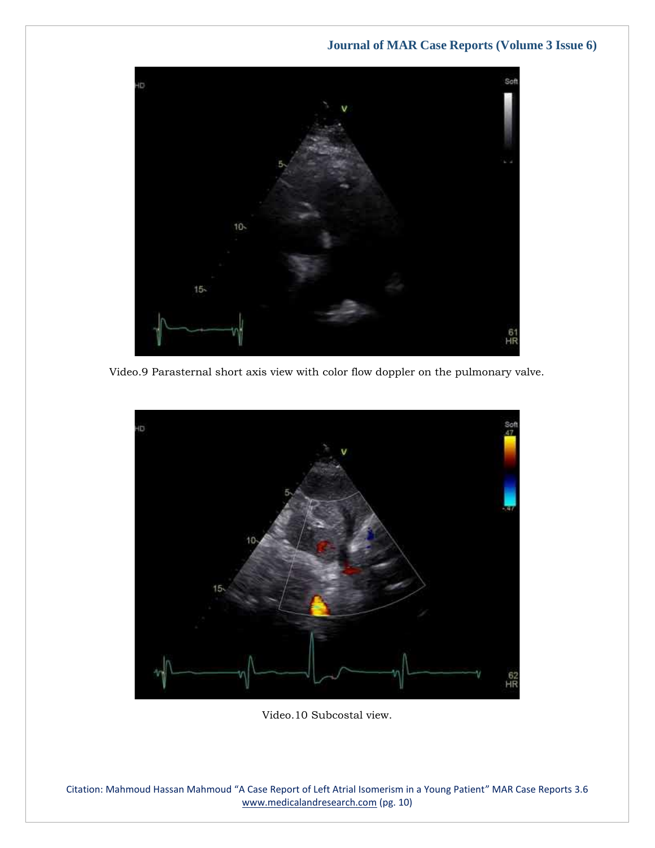

Video.9 Parasternal short axis view with color flow doppler on the pulmonary valve.



Video.10 Subcostal view.

Citation: Mahmoud Hassan Mahmoud "A Case Report of Left Atrial Isomerism in a Young Patient" MAR Case Reports 3.6 [www.medicalandresearch.com](http://www.medicalandresearch.com/) (pg. 10)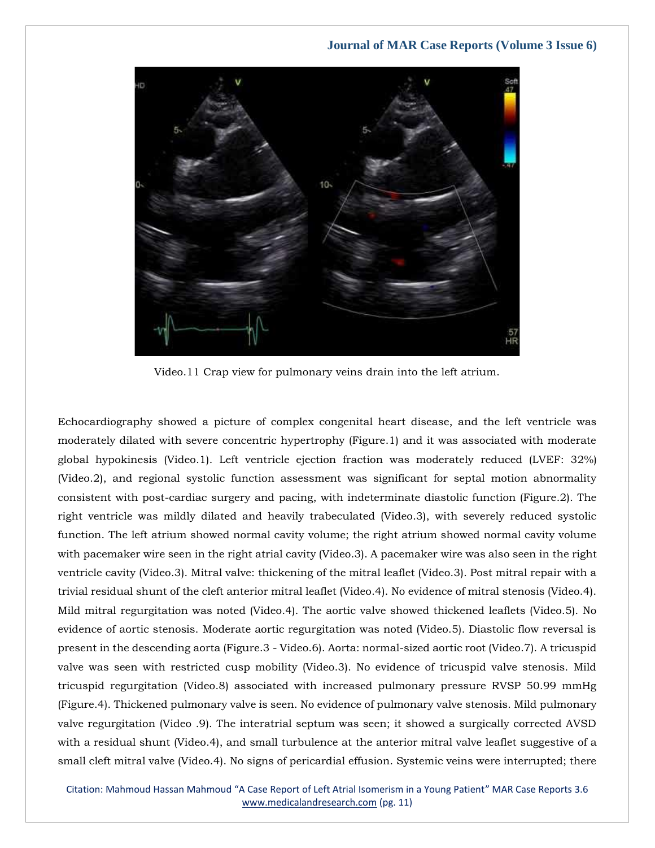

Video.11 Crap view for pulmonary veins drain into the left atrium.

Echocardiography showed a picture of complex congenital heart disease, and the left ventricle was moderately dilated with severe concentric hypertrophy (Figure.1) and it was associated with moderate global hypokinesis (Video.1). Left ventricle ejection fraction was moderately reduced (LVEF: 32%) (Video.2), and regional systolic function assessment was significant for septal motion abnormality consistent with post-cardiac surgery and pacing, with indeterminate diastolic function (Figure.2). The right ventricle was mildly dilated and heavily trabeculated (Video.3), with severely reduced systolic function. The left atrium showed normal cavity volume; the right atrium showed normal cavity volume with pacemaker wire seen in the right atrial cavity (Video.3). A pacemaker wire was also seen in the right ventricle cavity (Video.3). Mitral valve: thickening of the mitral leaflet (Video.3). Post mitral repair with a trivial residual shunt of the cleft anterior mitral leaflet (Video.4). No evidence of mitral stenosis (Video.4). Mild mitral regurgitation was noted (Video.4). The aortic valve showed thickened leaflets (Video.5). No evidence of aortic stenosis. Moderate aortic regurgitation was noted (Video.5). Diastolic flow reversal is present in the descending aorta (Figure.3 - Video.6). Aorta: normal-sized aortic root (Video.7). A tricuspid valve was seen with restricted cusp mobility (Video.3). No evidence of tricuspid valve stenosis. Mild tricuspid regurgitation (Video.8) associated with increased pulmonary pressure RVSP 50.99 mmHg (Figure.4). Thickened pulmonary valve is seen. No evidence of pulmonary valve stenosis. Mild pulmonary valve regurgitation (Video .9). The interatrial septum was seen; it showed a surgically corrected AVSD with a residual shunt (Video.4), and small turbulence at the anterior mitral valve leaflet suggestive of a small cleft mitral valve (Video.4). No signs of pericardial effusion. Systemic veins were interrupted; there

Citation: Mahmoud Hassan Mahmoud "A Case Report of Left Atrial Isomerism in a Young Patient" MAR Case Reports 3.6 [www.medicalandresearch.com](http://www.medicalandresearch.com/) (pg. 11)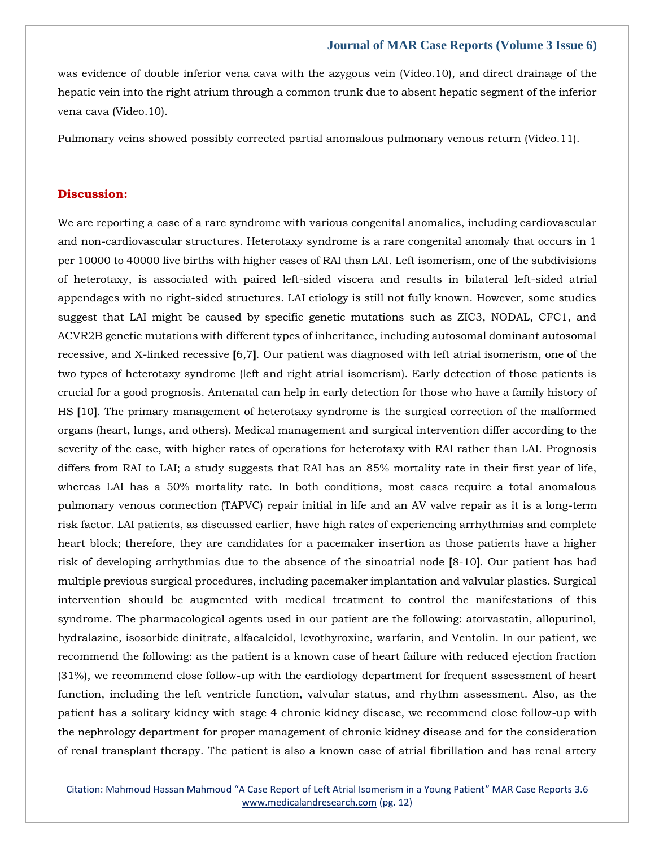was evidence of double inferior vena cava with the azygous vein (Video.10), and direct drainage of the hepatic vein into the right atrium through a common trunk due to absent hepatic segment of the inferior vena cava (Video.10).

Pulmonary veins showed possibly corrected partial anomalous pulmonary venous return (Video.11).

### **Discussion:**

We are reporting a case of a rare syndrome with various congenital anomalies, including cardiovascular and non-cardiovascular structures. Heterotaxy syndrome is a rare congenital anomaly that occurs in 1 per 10000 to 40000 live births with higher cases of RAI than LAI. Left isomerism, one of the subdivisions of heterotaxy, is associated with paired left-sided viscera and results in bilateral left-sided atrial appendages with no right-sided structures. LAI etiology is still not fully known. However, some studies suggest that LAI might be caused by specific genetic mutations such as ZIC3, NODAL, CFC1, and ACVR2B genetic mutations with different types of inheritance, including autosomal dominant autosomal recessive, and X-linked recessive **[**6,7**]**. Our patient was diagnosed with left atrial isomerism, one of the two types of heterotaxy syndrome (left and right atrial isomerism). Early detection of those patients is crucial for a good prognosis. Antenatal can help in early detection for those who have a family history of HS **[**10**]**. The primary management of heterotaxy syndrome is the surgical correction of the malformed organs (heart, lungs, and others). Medical management and surgical intervention differ according to the severity of the case, with higher rates of operations for heterotaxy with RAI rather than LAI. Prognosis differs from RAI to LAI; a study suggests that RAI has an 85% mortality rate in their first year of life, whereas LAI has a 50% mortality rate. In both conditions, most cases require a total anomalous pulmonary venous connection (TAPVC) repair initial in life and an AV valve repair as it is a long-term risk factor. LAI patients, as discussed earlier, have high rates of experiencing arrhythmias and complete heart block; therefore, they are candidates for a pacemaker insertion as those patients have a higher risk of developing arrhythmias due to the absence of the sinoatrial node **[**8-10**]**. Our patient has had multiple previous surgical procedures, including pacemaker implantation and valvular plastics. Surgical intervention should be augmented with medical treatment to control the manifestations of this syndrome. The pharmacological agents used in our patient are the following: atorvastatin, allopurinol, hydralazine, isosorbide dinitrate, alfacalcidol, levothyroxine, warfarin, and Ventolin. In our patient, we recommend the following: as the patient is a known case of heart failure with reduced ejection fraction (31%), we recommend close follow-up with the cardiology department for frequent assessment of heart function, including the left ventricle function, valvular status, and rhythm assessment. Also, as the patient has a solitary kidney with stage 4 chronic kidney disease, we recommend close follow-up with the nephrology department for proper management of chronic kidney disease and for the consideration of renal transplant therapy. The patient is also a known case of atrial fibrillation and has renal artery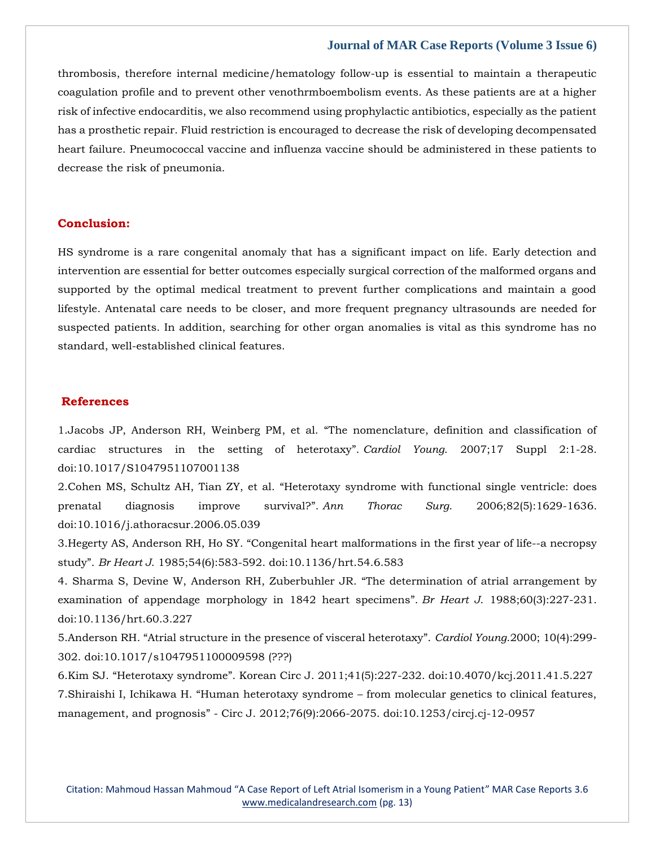thrombosis, therefore internal medicine/hematology follow-up is essential to maintain a therapeutic coagulation profile and to prevent other venothrmboembolism events. As these patients are at a higher risk of infective endocarditis, we also recommend using prophylactic antibiotics, especially as the patient has a prosthetic repair. Fluid restriction is encouraged to decrease the risk of developing decompensated heart failure. Pneumococcal vaccine and influenza vaccine should be administered in these patients to decrease the risk of pneumonia.

### **Conclusion:**

HS syndrome is a rare congenital anomaly that has a significant impact on life. Early detection and intervention are essential for better outcomes especially surgical correction of the malformed organs and supported by the optimal medical treatment to prevent further complications and maintain a good lifestyle. Antenatal care needs to be closer, and more frequent pregnancy ultrasounds are needed for suspected patients. In addition, searching for other organ anomalies is vital as this syndrome has no standard, well-established clinical features.

#### **References**

1.Jacobs JP, Anderson RH, Weinberg PM, et al. "[The nomenclature, definition and classification of](https://www.google.com/search?q=The+nomenclature%2C+definition+and+classification+of+cardiac+structures+in+the+setting+of+heterotaxy&oq=The+nomenclature%2C+definition+and+classification+of+cardiac+structures+in+the+setting+of+heterotaxy&aqs=chrome..69i57.439j0j7&sourceid=chrome&ie=UTF-8)  [cardiac structures in the setting of heterotaxy](https://www.google.com/search?q=The+nomenclature%2C+definition+and+classification+of+cardiac+structures+in+the+setting+of+heterotaxy&oq=The+nomenclature%2C+definition+and+classification+of+cardiac+structures+in+the+setting+of+heterotaxy&aqs=chrome..69i57.439j0j7&sourceid=chrome&ie=UTF-8)". *Cardiol Young*. 2007;17 Suppl 2:1-28. doi:10.1017/S1047951107001138

2.Cohen MS, Schultz AH, Tian ZY, et al. "[Heterotaxy syndrome with functional single ventricle: does](https://www.google.com/search?q=Heterotaxy+syndrome+with+functional+single+ventricle%3A+does+prenatal+diagnosis+improve+survival%3F&sxsrf=AOaemvJqTrKTZIwmcIOBf_q-lcPW6feUeA%3A1637747480894&ei=GAueYZz-NcnH4-EPvuKisAs&ved=0ahUKEwic6tHm3LD0AhXJ4zgGHT6xCLYQ4dUDCA4&uact=5&oq=Heterotaxy+syndrome+with+functional+single+ventricle%3A+does+prenatal+diagnosis+improve+survival%3F&gs_lcp=Cgdnd3Mtd2l6EAMyBwgjEOoCECcyBwgjEOoCECcyBwgjEOoCECcyBwgjEOoCECcyBwgjEOoCECcyBwgjEOoCECcyBwgjEOoCECcyBwgjEOoCECcyBwgjEOoCECcyBwgjEOoCECdKBAhBGABQ_wVY_wVgxAhoAXAAeACAAQCIAQCSAQCYAQCgAQGgAQKwAQrAAQE&sclient=gws-wiz)  [prenatal diagnosis improve survival?](https://www.google.com/search?q=Heterotaxy+syndrome+with+functional+single+ventricle%3A+does+prenatal+diagnosis+improve+survival%3F&sxsrf=AOaemvJqTrKTZIwmcIOBf_q-lcPW6feUeA%3A1637747480894&ei=GAueYZz-NcnH4-EPvuKisAs&ved=0ahUKEwic6tHm3LD0AhXJ4zgGHT6xCLYQ4dUDCA4&uact=5&oq=Heterotaxy+syndrome+with+functional+single+ventricle%3A+does+prenatal+diagnosis+improve+survival%3F&gs_lcp=Cgdnd3Mtd2l6EAMyBwgjEOoCECcyBwgjEOoCECcyBwgjEOoCECcyBwgjEOoCECcyBwgjEOoCECcyBwgjEOoCECcyBwgjEOoCECcyBwgjEOoCECcyBwgjEOoCECcyBwgjEOoCECdKBAhBGABQ_wVY_wVgxAhoAXAAeACAAQCIAQCSAQCYAQCgAQGgAQKwAQrAAQE&sclient=gws-wiz)". *Ann Thorac Surg*. 2006;82(5):1629-1636. doi:10.1016/j.athoracsur.2006.05.039

3.Hegerty AS, Anderson RH, Ho SY. "[Congenital heart malformations in the first year of life--a necropsy](https://www.google.com/search?q=Congenital+heart+malformations+in+the+first+year+of+life--a+necropsy+study&sxsrf=AOaemvK4ONvsHSVZYeuwp6PDVLYploFgpg%3A1637747526968&ei=RgueYdPMOtON4-EPpdSgeA&ved=0ahUKEwjTh8783LD0AhXTxjgGHSUqCA8Q4dUDCA4&uact=5&oq=Congenital+heart+malformations+in+the+first+year+of+life--a+necropsy+study&gs_lcp=Cgdnd3Mtd2l6EAM6BwgjEOoCECdKBAhBGABQkgZYkgZgvQhoAXAAeACAAc8BiAHPAZIBAzItMZgBAKABAaABArABCsABAQ&sclient=gws-wiz)  study". *Br Heart J*[. 1985;54\(6\):583-592. doi:10.1136/hrt.54.6.583](https://www.google.com/search?q=Congenital+heart+malformations+in+the+first+year+of+life--a+necropsy+study&sxsrf=AOaemvK4ONvsHSVZYeuwp6PDVLYploFgpg%3A1637747526968&ei=RgueYdPMOtON4-EPpdSgeA&ved=0ahUKEwjTh8783LD0AhXTxjgGHSUqCA8Q4dUDCA4&uact=5&oq=Congenital+heart+malformations+in+the+first+year+of+life--a+necropsy+study&gs_lcp=Cgdnd3Mtd2l6EAM6BwgjEOoCECdKBAhBGABQkgZYkgZgvQhoAXAAeACAAc8BiAHPAZIBAzItMZgBAKABAaABArABCsABAQ&sclient=gws-wiz)

4. [Sharma S, Devine W, Anderson RH, Zuberbuhler JR.](https://www.google.com/search?q=The+determination+of+atrial+arrangement+by+examination+of+appendage+morphology+in+1842+heart+specimens&sxsrf=AOaemvKigmhtTvjgb3srxi9XdKoAdAoP7w%3A1637747553143&ei=YQueYeCECNGY4-EPgde-IA&ved=0ahUKEwiguYuJ3bD0AhVRzDgGHYGrDwQQ4dUDCA4&uact=5&oq=The+determination+of+atrial+arrangement+by+examination+of+appendage+morphology+in+1842+heart+specimens&gs_lcp=Cgdnd3Mtd2l6EAMyBwgjEOoCECcyBwgjEOoCECcyBwgjEOoCECcyBwgjEOoCECcyBwgjEOoCECcyBwgjEOoCECcyBwgjEOoCECcyBwgjEOoCECcyBwgjEOoCECcyBwgjEOoCECdKBAhBGABQ1gVY1gVg8gdoAXAAeACAAQCIAQCSAQCYAQCgAQGgAQKwAQrAAQE&sclient=gws-wiz) "The determination of atrial arrangement by [examination of appendage morphology in 1842 heart specimens](https://www.google.com/search?q=The+determination+of+atrial+arrangement+by+examination+of+appendage+morphology+in+1842+heart+specimens&sxsrf=AOaemvKigmhtTvjgb3srxi9XdKoAdAoP7w%3A1637747553143&ei=YQueYeCECNGY4-EPgde-IA&ved=0ahUKEwiguYuJ3bD0AhVRzDgGHYGrDwQQ4dUDCA4&uact=5&oq=The+determination+of+atrial+arrangement+by+examination+of+appendage+morphology+in+1842+heart+specimens&gs_lcp=Cgdnd3Mtd2l6EAMyBwgjEOoCECcyBwgjEOoCECcyBwgjEOoCECcyBwgjEOoCECcyBwgjEOoCECcyBwgjEOoCECcyBwgjEOoCECcyBwgjEOoCECcyBwgjEOoCECcyBwgjEOoCECdKBAhBGABQ1gVY1gVg8gdoAXAAeACAAQCIAQCSAQCYAQCgAQGgAQKwAQrAAQE&sclient=gws-wiz)". *Br Heart J*. 1988;60(3):227-231. [doi:10.1136/hrt.60.3.227](https://www.google.com/search?q=The+determination+of+atrial+arrangement+by+examination+of+appendage+morphology+in+1842+heart+specimens&sxsrf=AOaemvKigmhtTvjgb3srxi9XdKoAdAoP7w%3A1637747553143&ei=YQueYeCECNGY4-EPgde-IA&ved=0ahUKEwiguYuJ3bD0AhVRzDgGHYGrDwQQ4dUDCA4&uact=5&oq=The+determination+of+atrial+arrangement+by+examination+of+appendage+morphology+in+1842+heart+specimens&gs_lcp=Cgdnd3Mtd2l6EAMyBwgjEOoCECcyBwgjEOoCECcyBwgjEOoCECcyBwgjEOoCECcyBwgjEOoCECcyBwgjEOoCECcyBwgjEOoCECcyBwgjEOoCECcyBwgjEOoCECcyBwgjEOoCECdKBAhBGABQ1gVY1gVg8gdoAXAAeACAAQCIAQCSAQCYAQCgAQGgAQKwAQrAAQE&sclient=gws-wiz)

5.Anderson RH. "[Atrial structure in the presence of visceral heterotaxy](https://www.google.com/search?q=Atrial+structure+in+the+presence+of+visceral+heterotaxy&sxsrf=AOaemvLoNJ5aEA50bfecaeKz1195Zh5RFQ%3A1637747572110&ei=dAueYayTBpqY4-EPlYGMsAg&ved=0ahUKEwisnZGS3bD0AhUazDgGHZUAA4YQ4dUDCA4&uact=5&oq=Atrial+structure+in+the+presence+of+visceral+heterotaxy&gs_lcp=Cgdnd3Mtd2l6EAMyBwgjEOoCECcyBwgjEOoCECcyBwgjEOoCECcyBwgjEOoCECcyBwgjEOoCECcyBwgjEOoCECcyBwgjEOoCECcyBwgjEOoCECcyBwgjEOoCECcyBwgjEOoCECdKBAhBGABQ7gVY7gVg6QdoAXAAeACAAQCIAQCSAQCYAQCgAQGgAQKwAQrAAQE&sclient=gws-wiz)". *Cardiol Young*.2000; 10(4):299- [302. doi:10.1017/s1047951100009598 \(???\)](https://www.google.com/search?q=Atrial+structure+in+the+presence+of+visceral+heterotaxy&sxsrf=AOaemvLoNJ5aEA50bfecaeKz1195Zh5RFQ%3A1637747572110&ei=dAueYayTBpqY4-EPlYGMsAg&ved=0ahUKEwisnZGS3bD0AhUazDgGHZUAA4YQ4dUDCA4&uact=5&oq=Atrial+structure+in+the+presence+of+visceral+heterotaxy&gs_lcp=Cgdnd3Mtd2l6EAMyBwgjEOoCECcyBwgjEOoCECcyBwgjEOoCECcyBwgjEOoCECcyBwgjEOoCECcyBwgjEOoCECcyBwgjEOoCECcyBwgjEOoCECcyBwgjEOoCECcyBwgjEOoCECdKBAhBGABQ7gVY7gVg6QdoAXAAeACAAQCIAQCSAQCYAQCgAQGgAQKwAQrAAQE&sclient=gws-wiz)

6.Kim SJ. "Heterotaxy syndrome"[. Korean Circ J. 2011;41\(5\):227-232. doi:10.4070/kcj.2011.41.5.227](https://www.google.com/search?q=Heterotaxy+syndrome&sxsrf=AOaemvJo6VqmQ9WnmY05sB__G0HST5GD2g%3A1637747588659&ei=hAueYc_oJ-Gb4-EP8q2X0AI&ved=0ahUKEwjPuoOa3bD0AhXhzTgGHfLWBSoQ4dUDCA4&uact=5&oq=Heterotaxy+syndrome&gs_lcp=Cgdnd3Mtd2l6EAMyBAgjECcyBQgAEIAEMgUIABCABDIFCAAQgAQyBQgAEIAEMgUIABCABDIFCAAQgAQyBQgAEIAEMgUIABCABDIFCAAQgAQ6BwgjEOoCECdKBAhBGABQ7gVY7gVgpQhoAXAAeACAAdMBiAHTAZIBAzItMZgBAKABAaABArABCsABAQ&sclient=gws-wiz) 7.Shiraishi I, Ichikawa H. "Human heterotaxy syndrome – [from molecular genetics to clinical features,](https://www.google.com/search?q=Human+heterotaxy+syndrome+%E2%80%93+from+molecular+genetics+to+clinical+features%2C+management%2C+and+prognosis&sxsrf=AOaemvLJtfbpX1QcNWmvoOInsyo-THHvSA%3A1637747608419&ei=mAueYZyaGa-I4-EPjr6U-As&ved=0ahUKEwicxrmj3bD0AhUvxDgGHQ4fBb8Q4dUDCA4&uact=5&oq=Human+heterotaxy+syndrome+%E2%80%93+from+molecular+genetics+to+clinical+features%2C+management%2C+and+prognosis&gs_lcp=Cgdnd3Mtd2l6EAM6BwgjEOoCECdKBAhBGABQzQdYzQdg7wloAXACeACAAakBiAGpAZIBAzAuMZgBAKABAaABArABCsABAQ&sclient=gws-wiz)  management, and prognosis" - [Circ J. 2012;76\(9\):2066-2075. doi:10.1253/circj.cj-12-0957](https://www.google.com/search?q=Human+heterotaxy+syndrome+%E2%80%93+from+molecular+genetics+to+clinical+features%2C+management%2C+and+prognosis&sxsrf=AOaemvLJtfbpX1QcNWmvoOInsyo-THHvSA%3A1637747608419&ei=mAueYZyaGa-I4-EPjr6U-As&ved=0ahUKEwicxrmj3bD0AhUvxDgGHQ4fBb8Q4dUDCA4&uact=5&oq=Human+heterotaxy+syndrome+%E2%80%93+from+molecular+genetics+to+clinical+features%2C+management%2C+and+prognosis&gs_lcp=Cgdnd3Mtd2l6EAM6BwgjEOoCECdKBAhBGABQzQdYzQdg7wloAXACeACAAakBiAGpAZIBAzAuMZgBAKABAaABArABCsABAQ&sclient=gws-wiz)